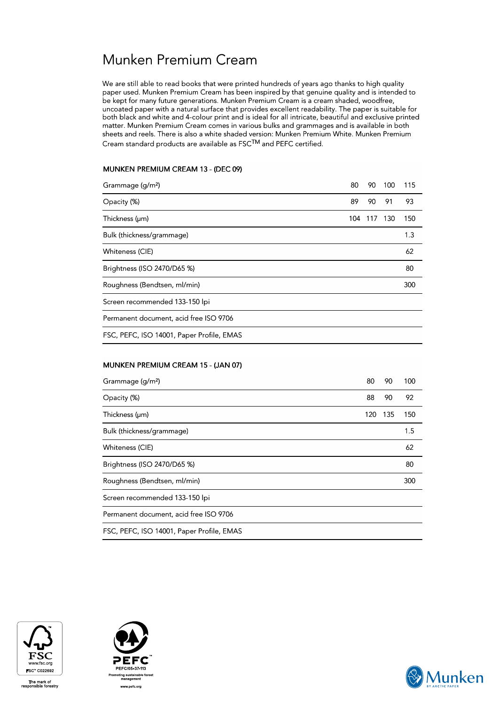# Munken Premium Cream

We are still able to read books that were printed hundreds of years ago thanks to high quality paper used. Munken Premium Cream has been inspired by that genuine quality and is intended to be kept for many future generations. Munken Premium Cream is a cream shaded, woodfree, uncoated paper with a natural surface that provides excellent readability. The paper is suitable for both black and white and 4-colour print and is ideal for all intricate, beautiful and exclusive printed matter. Munken Premium Cream comes in various bulks and grammages and is available in both sheets and reels. There is also a white shaded version: Munken Premium White. Munken Premium Cream standard products are available as FSCTM and PEFC certified.

### MUNKEN PREMIUM CREAM 13 - (DEC 09)

| Grammage (g/m <sup>2</sup> )              | 80  | 90  | 100 | 115 |  |
|-------------------------------------------|-----|-----|-----|-----|--|
| Opacity (%)                               | 89  | 90  | 91  | 93  |  |
| Thickness (µm)                            | 104 | 117 | 130 | 150 |  |
| Bulk (thickness/grammage)                 |     |     |     | 1.3 |  |
| Whiteness (CIE)                           |     |     |     | 62  |  |
| Brightness (ISO 2470/D65 %)               |     |     |     | 80  |  |
| Roughness (Bendtsen, ml/min)              |     |     |     | 300 |  |
| Screen recommended 133-150 lpi            |     |     |     |     |  |
| Permanent document, acid free ISO 9706    |     |     |     |     |  |
| FSC, PEFC, ISO 14001, Paper Profile, EMAS |     |     |     |     |  |
|                                           |     |     |     |     |  |

### MUNKEN PREMIUM CREAM 15 - (JAN 07)

| Grammage (g/m <sup>2</sup> )              | 80  | 90  | 100 |
|-------------------------------------------|-----|-----|-----|
| Opacity (%)                               | 88  | 90  | 92  |
| Thickness (µm)                            | 120 | 135 | 150 |
| Bulk (thickness/grammage)                 |     |     | 1.5 |
| Whiteness (CIE)                           |     |     | 62  |
| Brightness (ISO 2470/D65 %)               |     |     | 80  |
| Roughness (Bendtsen, ml/min)              |     |     | 300 |
| Screen recommended 133-150 lpi            |     |     |     |
| Permanent document, acid free ISO 9706    |     |     |     |
| FSC, PEFC, ISO 14001, Paper Profile, EMAS |     |     |     |